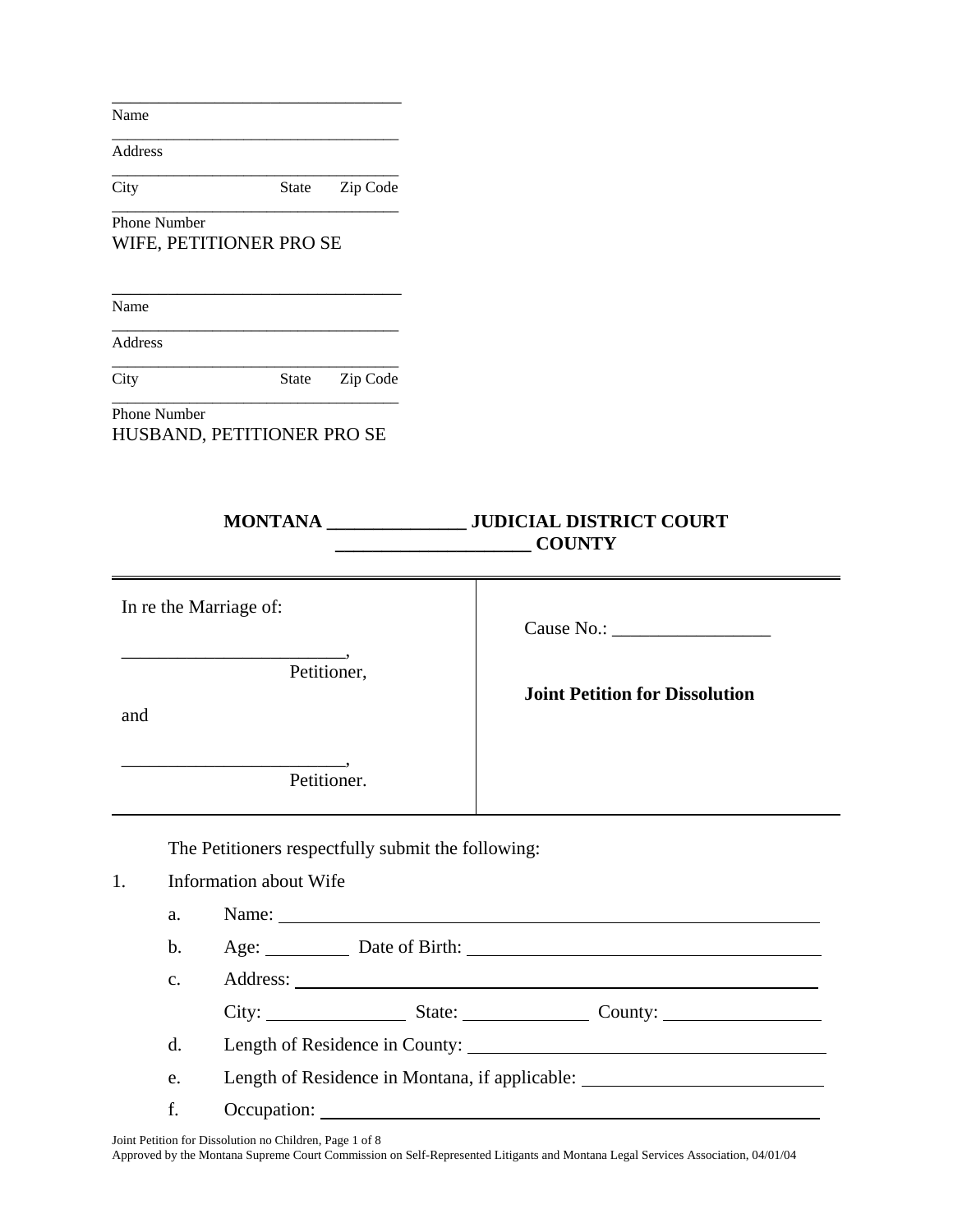Name

Address

\_\_\_\_\_\_\_\_\_\_\_\_\_\_\_\_\_\_\_\_\_\_\_\_\_\_\_\_\_\_\_\_\_\_\_\_\_ City State Zip Code

\_\_\_\_\_\_\_\_\_\_\_\_\_\_\_\_\_\_\_\_\_\_\_\_\_\_\_\_\_\_\_

\_\_\_\_\_\_\_\_\_\_\_\_\_\_\_\_\_\_\_\_\_\_\_\_\_\_\_\_\_\_\_\_\_\_\_\_\_

\_\_\_\_\_\_\_\_\_\_\_\_\_\_\_\_\_\_\_\_\_\_\_\_\_\_\_\_\_\_\_\_\_\_\_\_\_ Phone Number WIFE, PETITIONER PRO SE

Name

Address

\_\_\_\_\_\_\_\_\_\_\_\_\_\_\_\_\_\_\_\_\_\_\_\_\_\_\_\_\_\_\_\_\_\_\_\_\_ City State Zip Code

\_\_\_\_\_\_\_\_\_\_\_\_\_\_\_\_\_\_\_\_\_\_\_\_\_\_\_\_\_\_\_

\_\_\_\_\_\_\_\_\_\_\_\_\_\_\_\_\_\_\_\_\_\_\_\_\_\_\_\_\_\_\_\_\_\_\_\_\_

\_\_\_\_\_\_\_\_\_\_\_\_\_\_\_\_\_\_\_\_\_\_\_\_\_\_\_\_\_\_\_\_\_\_\_\_\_ Phone Number HUSBAND, PETITIONER PRO SE

# **MONTANA \_\_\_\_\_\_\_\_\_\_\_\_\_\_\_ JUDICIAL DISTRICT COURT \_\_\_\_\_\_\_\_\_\_\_\_\_\_\_\_\_\_\_\_\_ COUNTY**

| In re the Marriage of: |                |                                                    |  |                                                                                                                                                                                                                                |  |
|------------------------|----------------|----------------------------------------------------|--|--------------------------------------------------------------------------------------------------------------------------------------------------------------------------------------------------------------------------------|--|
| and                    |                | Petitioner,                                        |  | <b>Joint Petition for Dissolution</b>                                                                                                                                                                                          |  |
|                        |                | Petitioner.                                        |  |                                                                                                                                                                                                                                |  |
|                        |                | The Petitioners respectfully submit the following: |  |                                                                                                                                                                                                                                |  |
| 1.                     |                | Information about Wife                             |  |                                                                                                                                                                                                                                |  |
|                        | a.             | Name:                                              |  |                                                                                                                                                                                                                                |  |
|                        | $\mathbf{b}$ . |                                                    |  | Age: Date of Birth: 2008 2010 2020 2020 2021 2021 2021 2022 2021 2021 2022 2022 2022 2021 2022 2022 2022 2022 2022 2022 2022 2022 2022 2022 2022 2022 2022 2022 2022 2022 2022 2022 2022 2022 2022 2022 2022 2022 2022 2022 20 |  |
|                        | $\mathbf{C}$ . |                                                    |  |                                                                                                                                                                                                                                |  |
|                        |                |                                                    |  |                                                                                                                                                                                                                                |  |
|                        | d.             |                                                    |  | Length of Residence in County:                                                                                                                                                                                                 |  |

e. Length of Residence in Montana, if applicable:

f. Occupation:

Joint Petition for Dissolution no Children, Page 1 of 8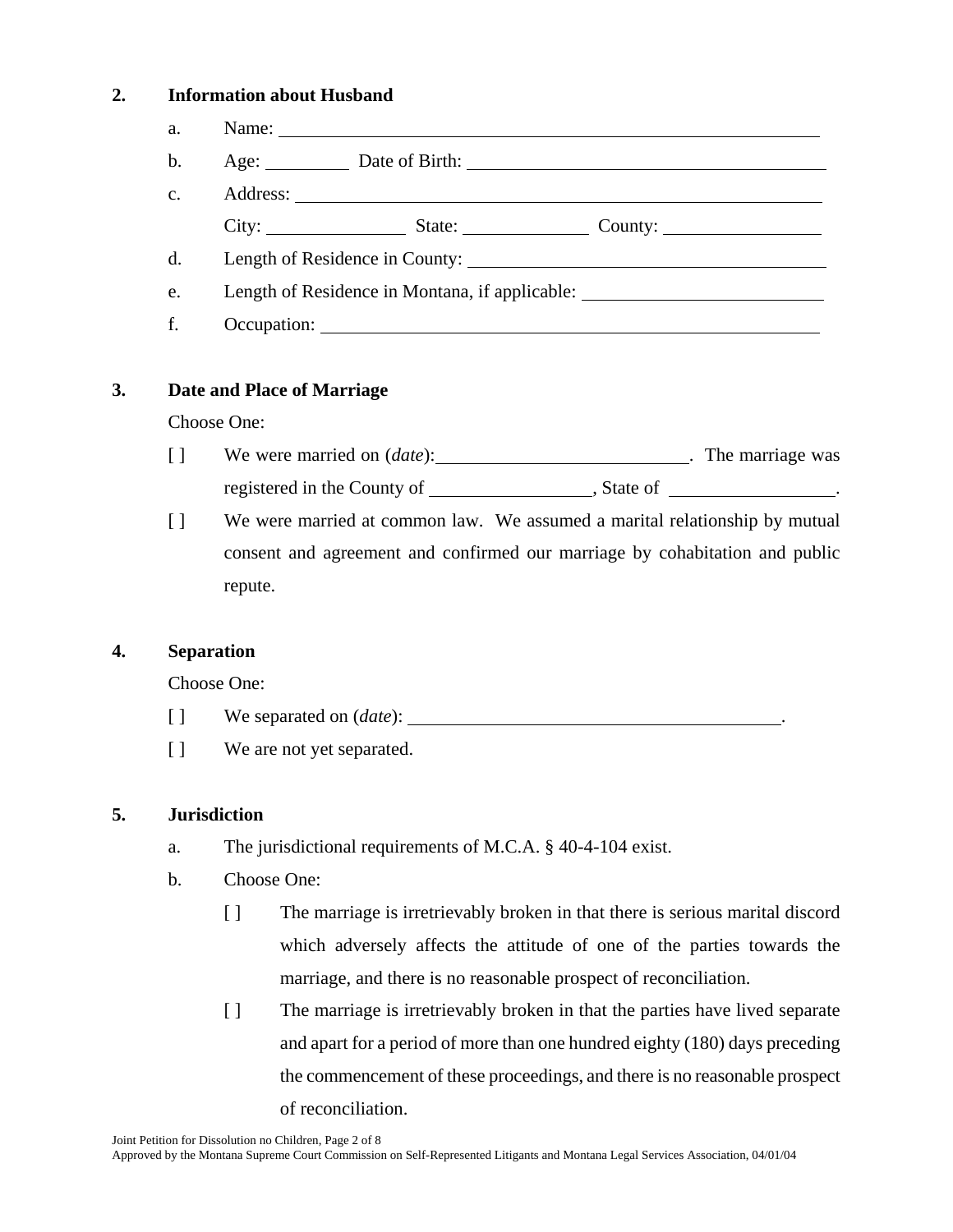### **2. Information about Husband**

| a.            | Name: |                                                |                         |
|---------------|-------|------------------------------------------------|-------------------------|
| b.            |       | Age: Date of Birth:                            |                         |
| $C_{\bullet}$ |       |                                                |                         |
|               | City: | State:                                         | County: $\qquad \qquad$ |
| d.            |       | Length of Residence in County:                 |                         |
| e.            |       | Length of Residence in Montana, if applicable: |                         |
|               |       |                                                |                         |

## **3. Date and Place of Marriage**

#### Choose One:

- [ ] We were married on (*date*): . The marriage was registered in the County of , State of .
- [ ] We were married at common law. We assumed a marital relationship by mutual consent and agreement and confirmed our marriage by cohabitation and public repute.

### **4. Separation**

Choose One:

- [ ] We separated on (*date*):
- [ ] We are not yet separated.

### **5. Jurisdiction**

- a. The jurisdictional requirements of M.C.A. § 40-4-104 exist.
- b. Choose One:
	- [ ] The marriage is irretrievably broken in that there is serious marital discord which adversely affects the attitude of one of the parties towards the marriage, and there is no reasonable prospect of reconciliation.
	- [ ] The marriage is irretrievably broken in that the parties have lived separate and apart for a period of more than one hundred eighty (180) days preceding the commencement of these proceedings, and there is no reasonable prospect of reconciliation.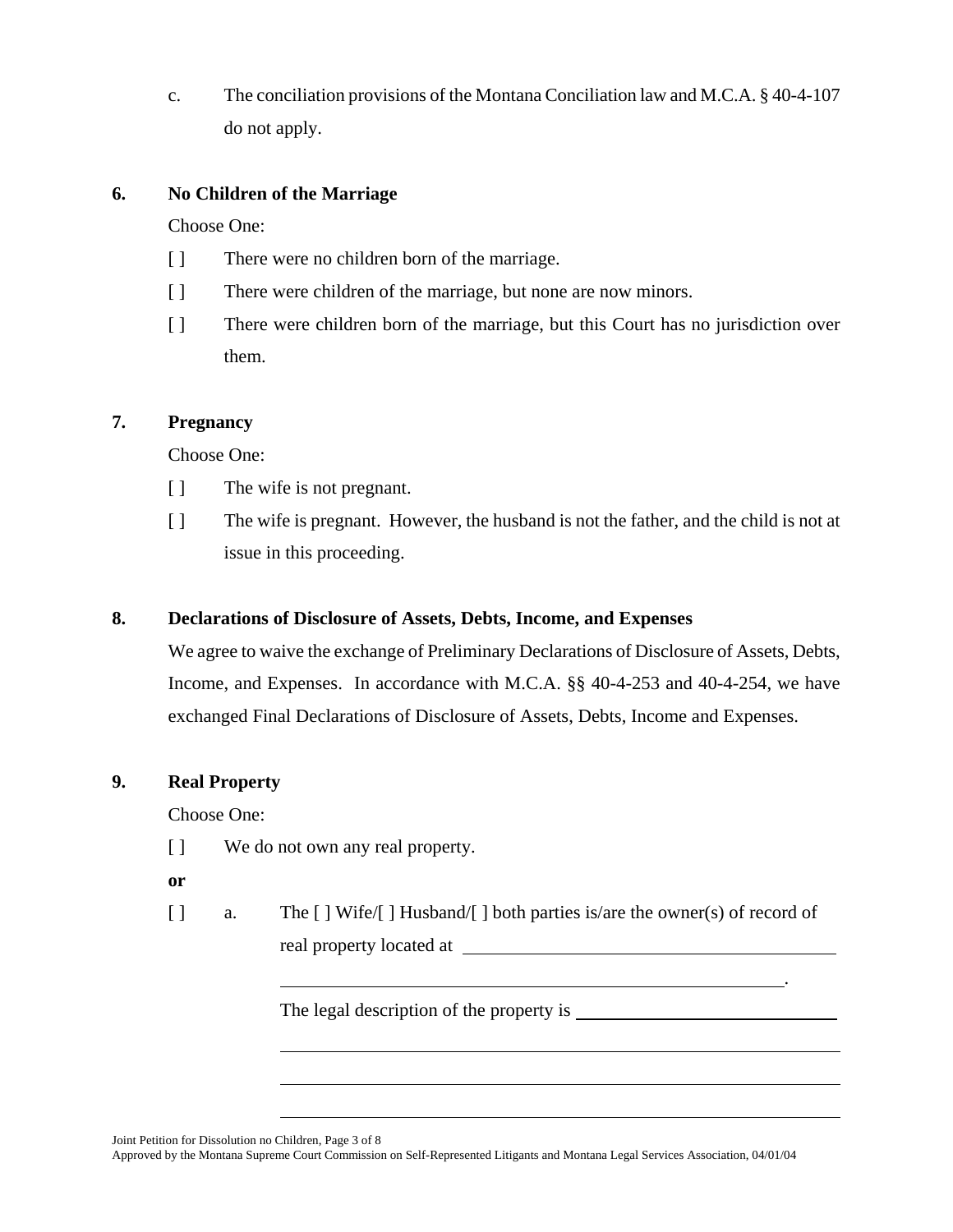c. The conciliation provisions of the Montana Conciliation law and M.C.A. § 40-4-107 do not apply.

## **6. No Children of the Marriage**

Choose One:

- [ ] There were no children born of the marriage.
- [ ] There were children of the marriage, but none are now minors.
- [ ] There were children born of the marriage, but this Court has no jurisdiction over them.

### **7. Pregnancy**

Choose One:

- [ ] The wife is not pregnant.
- [ ] The wife is pregnant. However, the husband is not the father, and the child is not at issue in this proceeding.

### **8. Declarations of Disclosure of Assets, Debts, Income, and Expenses**

We agree to waive the exchange of Preliminary Declarations of Disclosure of Assets, Debts, Income, and Expenses. In accordance with M.C.A. §§ 40-4-253 and 40-4-254, we have exchanged Final Declarations of Disclosure of Assets, Debts, Income and Expenses.

### **9. Real Property**

Choose One:

- [ ] We do not own any real property.
- **or**
- [ ] a. The [ ] Wife/[ ] Husband/[ ] both parties is/are the owner(s) of record of real property located at

. The contract of the contract of the contract of the contract of the contract of the contract of the contract<br>The contract of the contract of the contract of the contract of the contract of the contract of the contract o

The legal description of the property is

Joint Petition for Dissolution no Children, Page 3 of 8

 $\overline{a}$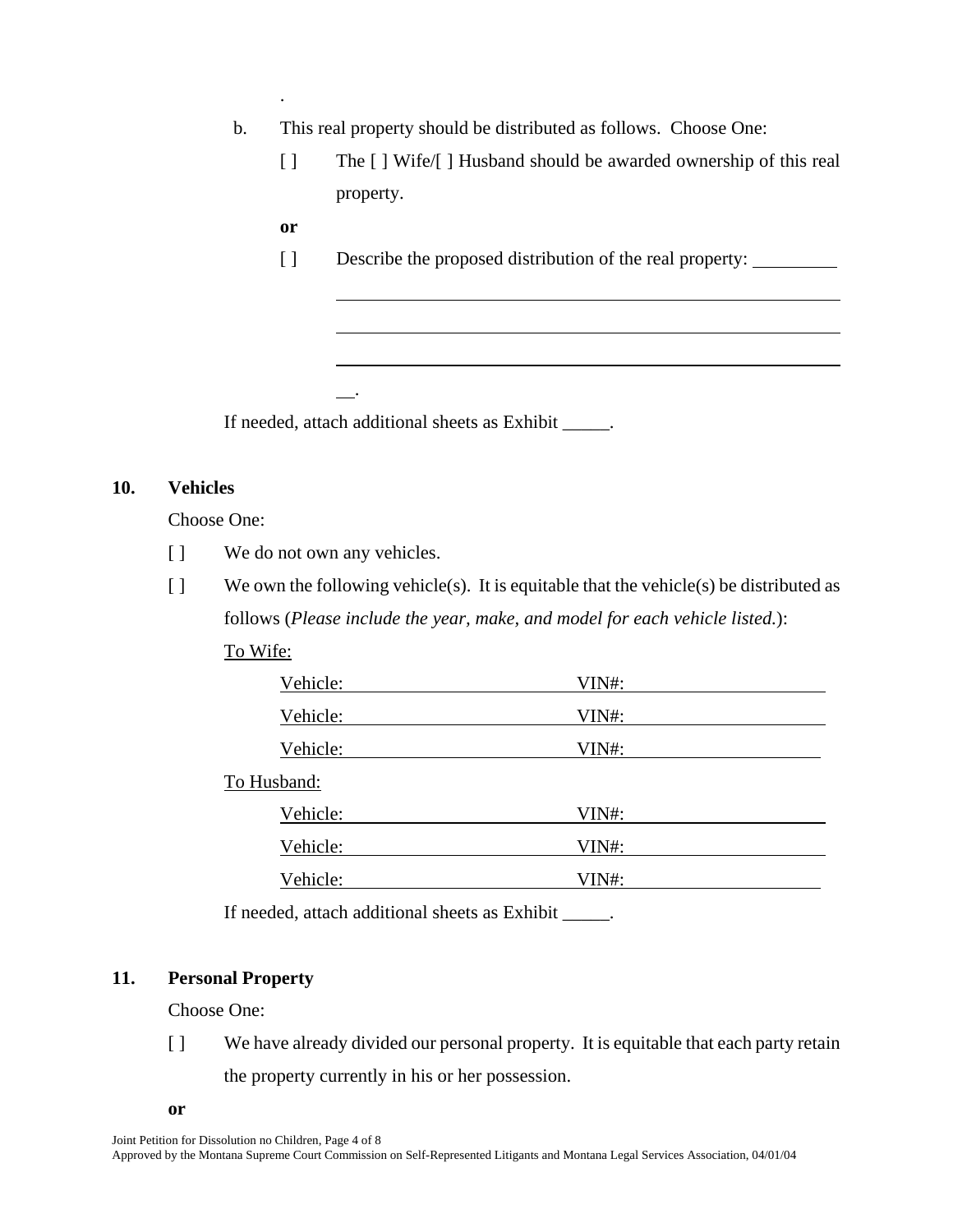- b. This real property should be distributed as follows. Choose One:
	- [ ] The [ ] Wife/[ ] Husband should be awarded ownership of this real property.
	- **or**

l

.

.

[ ] Describe the proposed distribution of the real property:

If needed, attach additional sheets as Exhibit \_\_\_\_\_.

## **10. Vehicles**

Choose One:

- [ ] We do not own any vehicles.
- [ ] We own the following vehicle(s). It is equitable that the vehicle(s) be distributed as follows (*Please include the year, make, and model for each vehicle listed.*):

| v |
|---|
|---|

| Vehicle:    | VIN#: |  |
|-------------|-------|--|
| Vehicle:    | VIN#: |  |
| Vehicle:    | VIN#: |  |
| To Husband: |       |  |
| Vehicle:    | VIN#: |  |
| Vehicle:    | VIN#: |  |
| Vehicle:    | VIN#: |  |

If needed, attach additional sheets as Exhibit \_\_\_\_\_.

#### **11. Personal Property**

Choose One:

[ ] We have already divided our personal property. It is equitable that each party retain the property currently in his or her possession.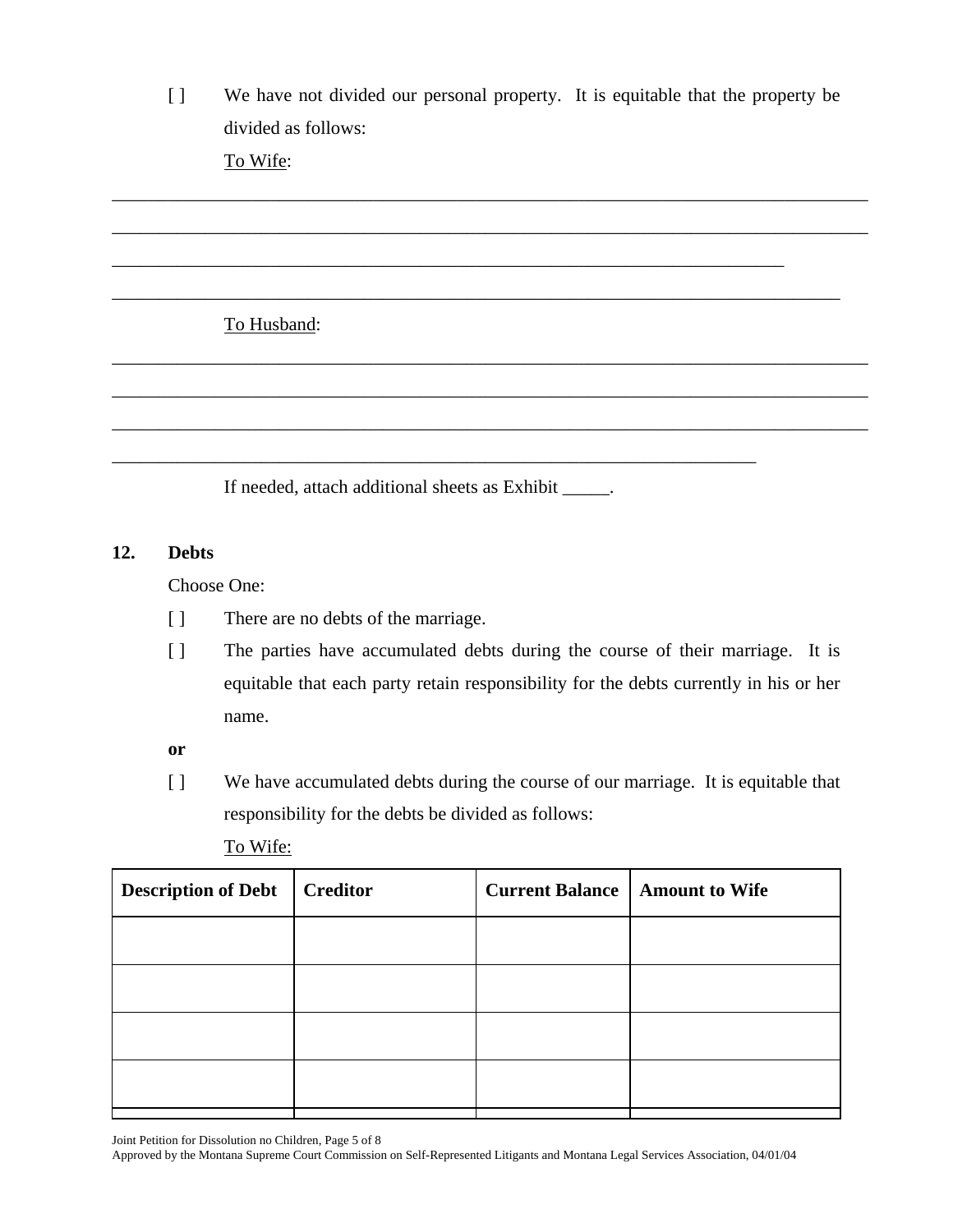[ ] We have not divided our personal property. It is equitable that the property be divided as follows:

\_\_\_\_\_\_\_\_\_\_\_\_\_\_\_\_\_\_\_\_\_\_\_\_\_\_\_\_\_\_\_\_\_\_\_\_\_\_\_\_\_\_\_\_\_\_\_\_\_\_\_\_\_\_\_\_\_\_\_\_\_\_\_\_\_\_\_\_\_\_\_\_\_\_\_\_\_\_\_\_\_

\_\_\_\_\_\_\_\_\_\_\_\_\_\_\_\_\_\_\_\_\_\_\_\_\_\_\_\_\_\_\_\_\_\_\_\_\_\_\_\_\_\_\_\_\_\_\_\_\_\_\_\_\_\_\_\_\_\_\_\_\_\_\_\_\_\_\_\_\_\_\_\_\_\_\_\_\_\_\_\_\_

\_\_\_\_\_\_\_\_\_\_\_\_\_\_\_\_\_\_\_\_\_\_\_\_\_\_\_\_\_\_\_\_\_\_\_\_\_\_\_\_\_\_\_\_\_\_\_\_\_\_\_\_\_\_\_\_\_\_\_\_\_\_\_\_\_\_\_\_\_\_\_\_\_\_\_\_\_\_

\_\_\_\_\_\_\_\_\_\_\_\_\_\_\_\_\_\_\_\_\_\_\_\_\_\_\_\_\_\_\_\_\_\_\_\_\_\_\_\_\_\_\_\_\_\_\_\_\_\_\_\_\_\_\_\_\_\_\_\_\_\_\_\_\_\_\_\_\_\_\_\_\_\_\_\_\_\_\_\_\_

\_\_\_\_\_\_\_\_\_\_\_\_\_\_\_\_\_\_\_\_\_\_\_\_\_\_\_\_\_\_\_\_\_\_\_\_\_\_\_\_\_\_\_\_\_\_\_\_\_\_\_\_\_\_\_\_\_\_\_\_\_\_\_\_\_\_\_\_\_\_\_\_\_\_\_\_\_\_\_\_\_

\_\_\_\_\_\_\_\_\_\_\_\_\_\_\_\_\_\_\_\_\_\_\_\_\_\_\_\_\_\_\_\_\_\_\_\_\_\_\_\_\_\_\_\_\_\_\_\_\_\_\_\_\_\_\_\_\_\_\_\_\_\_\_\_\_\_\_\_\_\_\_\_\_\_\_\_\_\_\_\_\_

\_\_\_\_\_\_\_\_\_\_\_\_\_\_\_\_\_\_\_\_\_\_\_\_\_\_\_\_\_\_\_\_\_\_\_\_\_\_\_\_\_\_\_\_\_\_\_\_\_\_\_\_\_\_\_\_\_\_\_\_\_\_\_\_\_\_\_\_\_\_\_\_

To Wife:

# To Husband:

If needed, attach additional sheets as Exhibit \_\_\_\_\_.

\_\_\_\_\_\_\_\_\_\_\_\_\_\_\_\_\_\_\_\_\_\_\_\_\_\_\_\_\_\_\_\_\_\_\_\_\_\_\_\_\_\_\_\_\_\_\_\_\_\_\_\_\_\_\_\_\_\_\_\_\_\_\_\_\_\_\_\_\_

## **12. Debts**

Choose One:

- [ ] There are no debts of the marriage.
- [ ] The parties have accumulated debts during the course of their marriage. It is equitable that each party retain responsibility for the debts currently in his or her name.

**or**

[ ] We have accumulated debts during the course of our marriage. It is equitable that responsibility for the debts be divided as follows:

To Wife:

| <b>Creditor</b> | <b>Amount to Wife</b>  |
|-----------------|------------------------|
|                 |                        |
|                 |                        |
|                 |                        |
|                 |                        |
|                 | <b>Current Balance</b> |

Joint Petition for Dissolution no Children, Page 5 of 8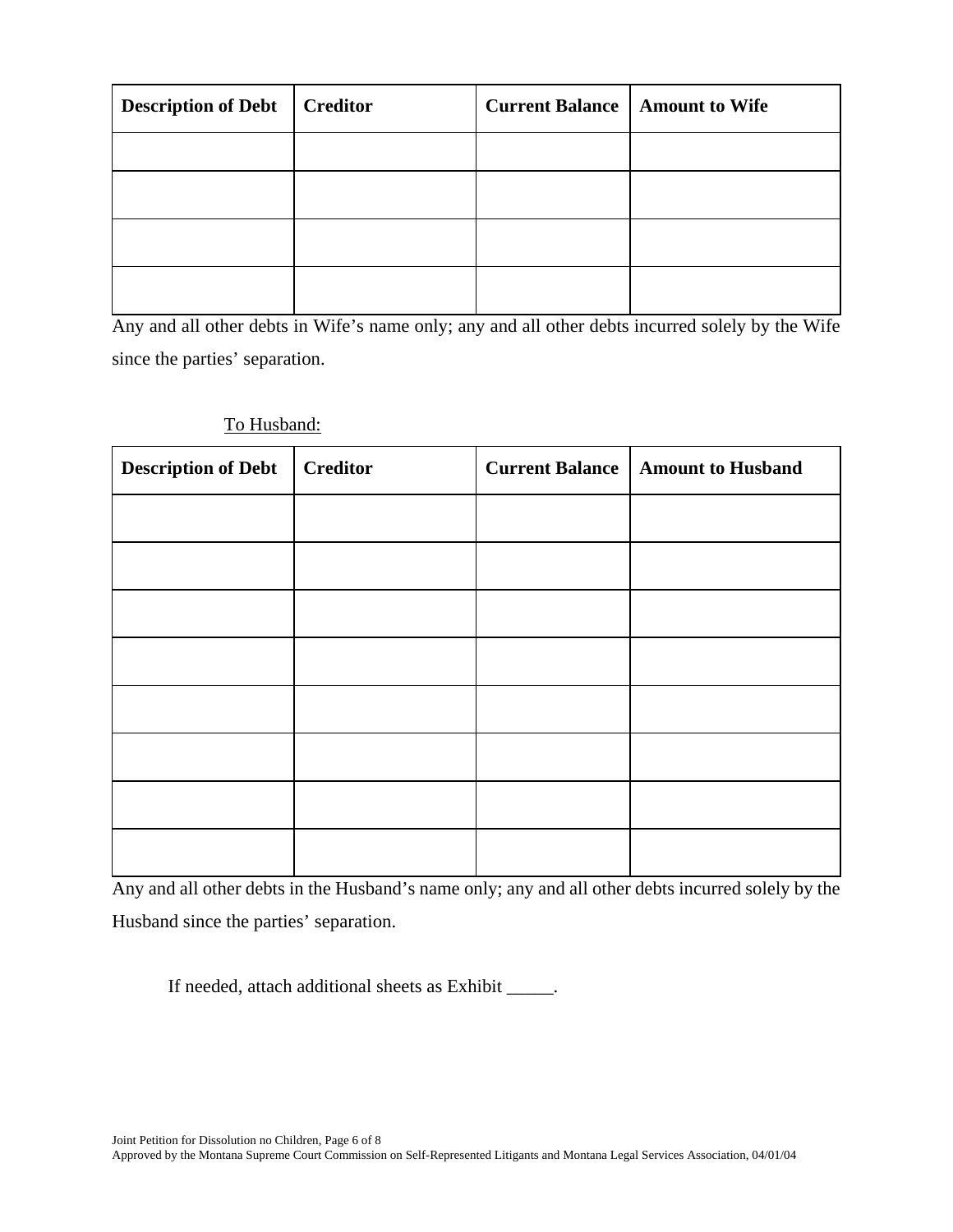| <b>Description of Debt</b> | <b>Creditor</b> | <b>Current Balance   Amount to Wife</b> |  |
|----------------------------|-----------------|-----------------------------------------|--|
|                            |                 |                                         |  |
|                            |                 |                                         |  |
|                            |                 |                                         |  |
|                            |                 |                                         |  |

Any and all other debts in Wife's name only; any and all other debts incurred solely by the Wife since the parties' separation.

| To Husband: |  |
|-------------|--|
|             |  |

| <b>Description of Debt</b> | <b>Creditor</b> | <b>Current Balance</b> | <b>Amount to Husband</b> |
|----------------------------|-----------------|------------------------|--------------------------|
|                            |                 |                        |                          |
|                            |                 |                        |                          |
|                            |                 |                        |                          |
|                            |                 |                        |                          |
|                            |                 |                        |                          |
|                            |                 |                        |                          |
|                            |                 |                        |                          |
|                            |                 |                        |                          |

Any and all other debts in the Husband's name only; any and all other debts incurred solely by the Husband since the parties' separation.

If needed, attach additional sheets as Exhibit \_\_\_\_\_.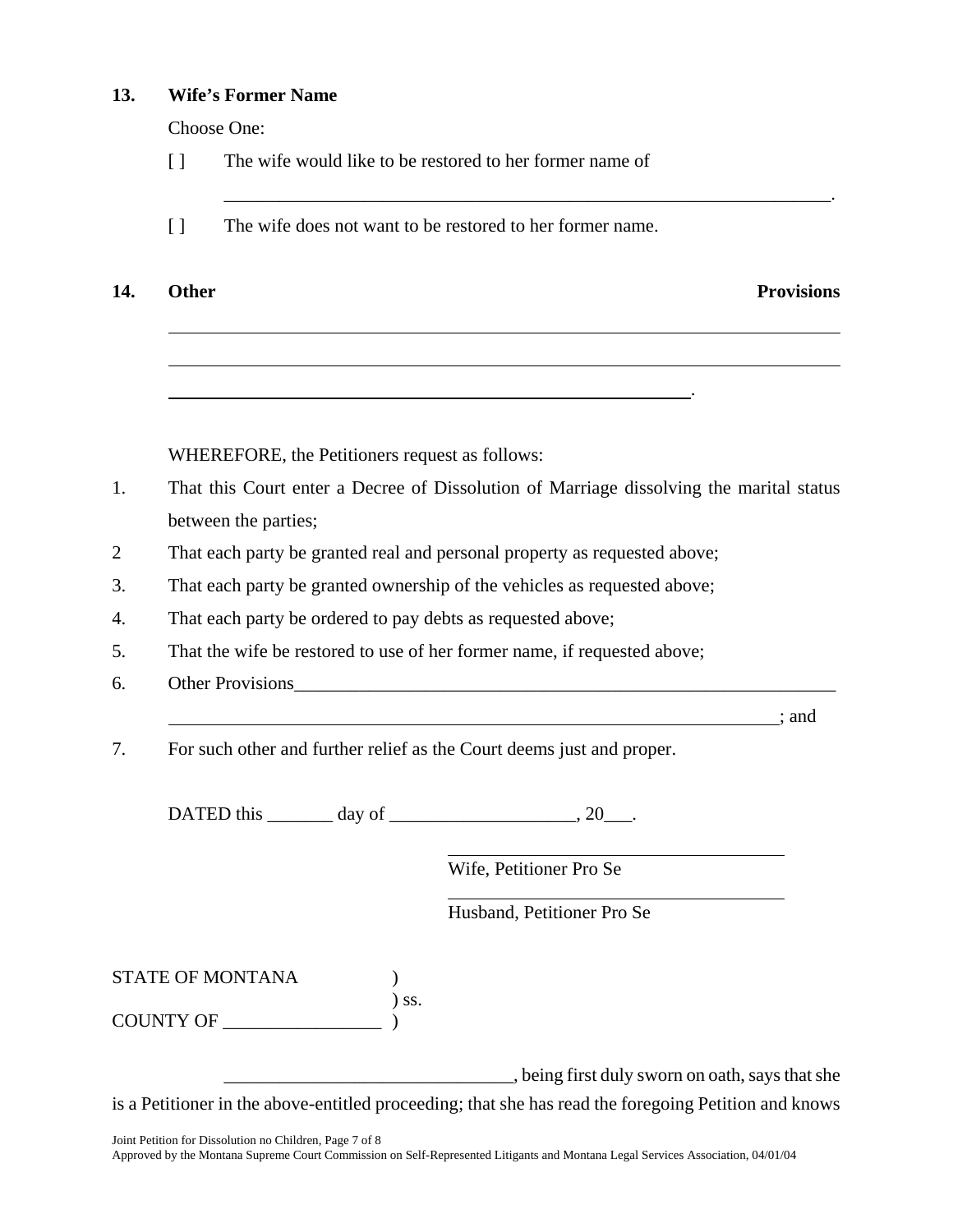#### **13. Wife's Former Name**

Choose One:

- [ ] The wife would like to be restored to her former name of
- [ ] The wife does not want to be restored to her former name.

14. Other **Provisions** 

l

l

WHEREFORE, the Petitioners request as follows:

1. That this Court enter a Decree of Dissolution of Marriage dissolving the marital status between the parties;

\_\_\_\_\_\_\_\_\_\_\_\_\_\_\_\_\_\_\_\_\_\_\_\_\_\_\_\_\_\_\_\_\_\_\_\_\_\_\_\_\_\_\_\_\_\_\_\_\_\_\_\_\_\_\_\_\_\_\_\_\_\_\_\_\_.

2 That each party be granted real and personal property as requested above;

<u>. Andre Sterne and Sterne and Sterne and Sterne and Sterne and Sterne and Sterne and Sterne and Sterne and St</u>

- 3. That each party be granted ownership of the vehicles as requested above;
- 4. That each party be ordered to pay debts as requested above;
- 5. That the wife be restored to use of her former name, if requested above;
- 6. Other Provisions

; and

7. For such other and further relief as the Court deems just and proper.

DATED this \_\_\_\_\_\_\_ day of \_\_\_\_\_\_\_\_\_\_\_\_\_\_\_\_\_\_\_\_, 20\_\_\_.

 $\overline{a}$ 

 $\overline{a}$ 

Wife, Petitioner Pro Se

Husband, Petitioner Pro Se

STATE OF MONTANA )

) ss. COUNTY OF

\_\_\_\_\_\_\_\_\_\_\_\_\_\_\_\_\_\_\_\_\_\_\_\_\_\_\_\_\_\_\_, being first duly sworn on oath, says that she is a Petitioner in the above-entitled proceeding; that she has read the foregoing Petition and knows

Joint Petition for Dissolution no Children, Page 7 of 8